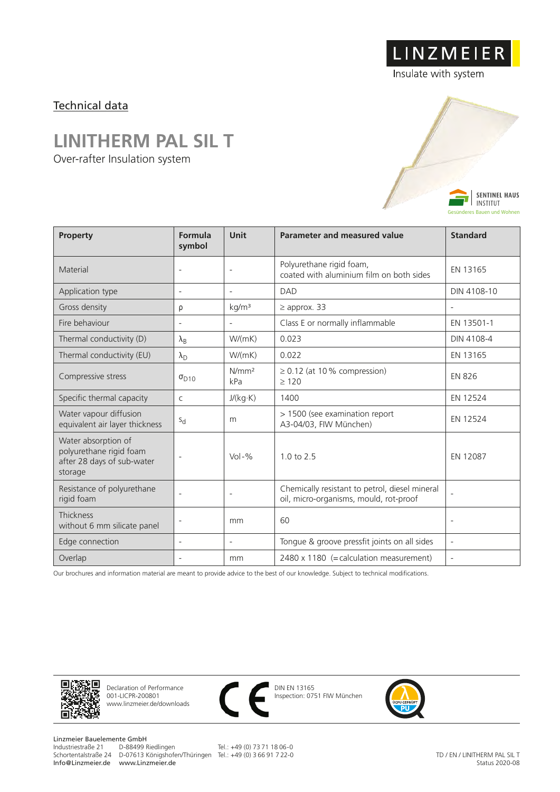### Technical data

## **LINITHERM PAL SIL T**

Over-rafter Insulation system



LINZMEIER

| Property                                                                                | Formula<br>symbol        | Unit                     | <b>Parameter and measured value</b>                                                      | <b>Standard</b>          |
|-----------------------------------------------------------------------------------------|--------------------------|--------------------------|------------------------------------------------------------------------------------------|--------------------------|
| Material                                                                                | $\overline{\phantom{a}}$ | $\overline{a}$           | Polyurethane rigid foam,<br>coated with aluminium film on both sides                     | EN 13165                 |
| Application type                                                                        | $\overline{\phantom{a}}$ | $\overline{a}$           | <b>DAD</b>                                                                               | DIN 4108-10              |
| Gross density                                                                           | ρ                        | kg/m <sup>3</sup>        | $\geq$ approx. 33                                                                        | $\overline{\phantom{a}}$ |
| Fire behaviour                                                                          | $\overline{\phantom{a}}$ | $\overline{\phantom{a}}$ | Class E or normally inflammable                                                          | EN 13501-1               |
| Thermal conductivity (D)                                                                | $\lambda_{\rm B}$        | W/(mK)                   | 0.023                                                                                    | DIN 4108-4               |
| Thermal conductivity (EU)                                                               | $\lambda_{\rm D}$        | W/(mK)                   | 0.022                                                                                    | EN 13165                 |
| Compressive stress                                                                      | $\sigma_{D10}$           | N/mm <sup>2</sup><br>kPa | $\geq$ 0.12 (at 10% compression)<br>>120                                                 | <b>EN 826</b>            |
| Specific thermal capacity                                                               | $\mathsf{C}$             | J/(kg·K)                 | 1400                                                                                     | EN 12524                 |
| Water vapour diffusion<br>equivalent air layer thickness                                | $S_{\rm d}$              | m                        | > 1500 (see examination report<br>A3-04/03, FIW München)                                 | EN 12524                 |
| Water absorption of<br>polyurethane rigid foam<br>after 28 days of sub-water<br>storage | $\overline{\phantom{a}}$ | $Vol - %$                | 10 to 25                                                                                 | EN 12087                 |
| Resistance of polyurethane<br>rigid foam                                                | $\overline{\phantom{a}}$ | $\qquad \qquad -$        | Chemically resistant to petrol, diesel mineral<br>oil, micro-organisms, mould, rot-proof | $\overline{\phantom{a}}$ |
| Thickness<br>without 6 mm silicate panel                                                | $\overline{\phantom{a}}$ | mm                       | 60                                                                                       | $\overline{\phantom{a}}$ |
| Edge connection                                                                         | $\overline{\phantom{a}}$ | $\overline{\phantom{a}}$ | Tongue & groove pressfit joints on all sides                                             | $\overline{\phantom{a}}$ |
| Overlap                                                                                 |                          | mm                       | 2480 x 1180 (= calculation measurement)                                                  | $\overline{a}$           |

Our brochures and information material are meant to provide advice to the best of our knowledge. Subject to technical modifications.



Declaration of Performance 001-LICPR-200801 www.linzmeier.de/downloads



DIN EN 13165 Inspection: 0751 FIW München



Linzmeier Bauelemente GmbH<br>Industriestraße 21 D-88499 Riedlingen Info@Linzmeier.de www.Linzmeier.de

Schortentalstraße 24 D-07613 Königshofen/Thüringen Tel.: +49 (0) 3 66 91 7 22-0

Tel.: +49 (0) 73 71 18 06-0

TD / EN / LINITHERM PAL SIL T Status 2020-08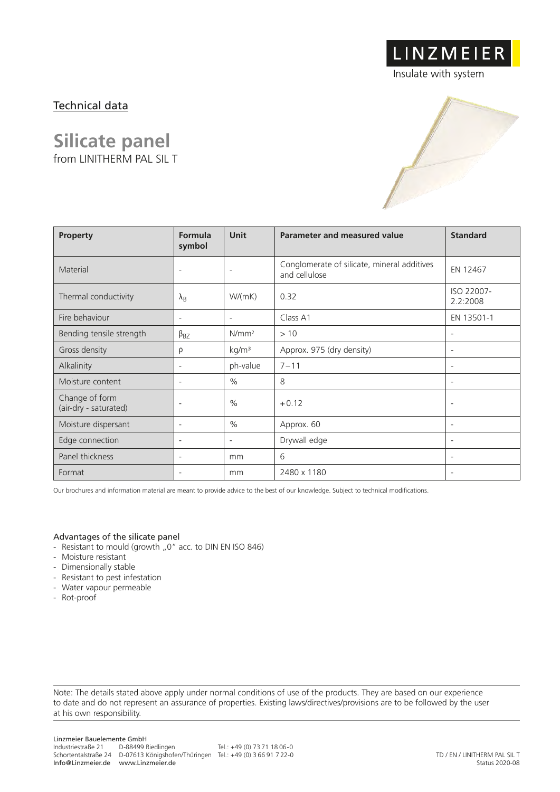## Technical data

## **Silicate panel**

from LINITHERM PAL SIL T

LINZMEIER

Insulate with system

| <b>Property</b>                         | Formula<br>symbol        | <b>Unit</b>              | Parameter and measured value                                 | <b>Standard</b>          |
|-----------------------------------------|--------------------------|--------------------------|--------------------------------------------------------------|--------------------------|
| Material                                | $\overline{\phantom{a}}$ | $\overline{\phantom{a}}$ | Conglomerate of silicate, mineral additives<br>and cellulose | EN 12467                 |
| Thermal conductivity                    | $\lambda_{\rm B}$        | W/(mK)                   | 0.32                                                         | ISO 22007-<br>2.2:2008   |
| Fire behaviour                          | $\overline{\phantom{a}}$ | $\overline{\phantom{a}}$ | Class A1                                                     | EN 13501-1               |
| Bending tensile strength                | $\beta_{BZ}$             | $N/mm^2$                 | >10                                                          | $\overline{\phantom{a}}$ |
| Gross density                           | ρ                        | kg/m <sup>3</sup>        | Approx. 975 (dry density)                                    | $\overline{\phantom{a}}$ |
| Alkalinity                              | $\overline{\phantom{a}}$ | ph-value                 | $7 - 11$                                                     | $\overline{\phantom{a}}$ |
| Moisture content                        | $\overline{\phantom{a}}$ | $\frac{0}{0}$            | 8                                                            | $\overline{\phantom{a}}$ |
| Change of form<br>(air-dry - saturated) | $\overline{\phantom{a}}$ | $\frac{0}{0}$            | $+0.12$                                                      | $\overline{\phantom{a}}$ |
| Moisture dispersant                     | $\overline{\phantom{a}}$ | $\frac{0}{0}$            | Approx. 60                                                   | $\overline{\phantom{a}}$ |
| Edge connection                         | $\overline{\phantom{a}}$ | $\overline{\phantom{a}}$ | Drywall edge                                                 | $\overline{\phantom{a}}$ |
| Panel thickness                         | $\overline{\phantom{a}}$ | mm                       | 6                                                            | $\overline{\phantom{a}}$ |
| Format                                  | $\overline{\phantom{a}}$ | mm                       | 2480 x 1180                                                  | $\overline{\phantom{a}}$ |

Our brochures and information material are meant to provide advice to the best of our knowledge. Subject to technical modifications.

#### Advantages of the silicate panel

- Resistant to mould (growth "0" acc. to DIN EN ISO 846)
- Moisture resistant
- Dimensionally stable
- Resistant to pest infestation
- Water vapour permeable
- Rot-proof

Note: The details stated above apply under normal conditions of use of the products. They are based on our experience to date and do not represent an assurance of properties. Existing laws/directives/provisions are to be followed by the user at his own responsibility.